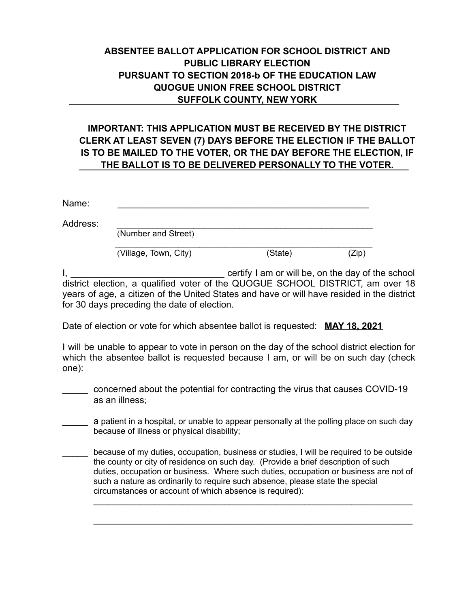## **ABSENTEE BALLOT APPLICATION FOR SCHOOL DISTRICT AND PUBLIC LIBRARY ELECTION PURSUANT TO SECTION 2018-b OF THE EDUCATION LAW QUOGUE UNION FREE SCHOOL DISTRICT SUFFOLK COUNTY, NEW YORK**

## **IMPORTANT: THIS APPLICATION MUST BE RECEIVED BY THE DISTRICT CLERK AT LEAST SEVEN (7) DAYS BEFORE THE ELECTION IF THE BALLOT IS TO BE MAILED TO THE VOTER, OR THE DAY BEFORE THE ELECTION, IF THE BALLOT IS TO BE DELIVERED PERSONALLY TO THE VOTER.**

| Name:    |                       |         |       |
|----------|-----------------------|---------|-------|
| Address: | (Number and Street)   |         |       |
|          |                       |         |       |
|          | (Village, Town, City) | (State) | (Zip) |

I, \_\_\_\_\_\_\_\_\_\_\_\_\_\_\_\_\_\_\_\_\_\_\_\_\_\_\_\_\_\_ certify I am or will be, on the day of the school district election, a qualified voter of the QUOGUE SCHOOL DISTRICT, am over 18 years of age, a citizen of the United States and have or will have resided in the district for 30 days preceding the date of election.

Date of election or vote for which absentee ballot is requested: **MAY 18, 2021**

I will be unable to appear to vote in person on the day of the school district election for which the absentee ballot is requested because I am, or will be on such day (check one):

\_\_\_\_\_ concerned about the potential for contracting the virus that causes COVID-19 as an illness;

a patient in a hospital, or unable to appear personally at the polling place on such day because of illness or physical disability;

because of my duties, occupation, business or studies, I will be required to be outside the county or city of residence on such day. (Provide a brief description of such duties, occupation or business. Where such duties, occupation or business are not of such a nature as ordinarily to require such absence, please state the special circumstances or account of which absence is required):

\_\_\_\_\_\_\_\_\_\_\_\_\_\_\_\_\_\_\_\_\_\_\_\_\_\_\_\_\_\_\_\_\_\_\_\_\_\_\_\_\_\_\_\_\_\_\_\_\_\_\_\_\_\_\_\_\_\_\_\_\_\_\_\_\_\_\_\_

\_\_\_\_\_\_\_\_\_\_\_\_\_\_\_\_\_\_\_\_\_\_\_\_\_\_\_\_\_\_\_\_\_\_\_\_\_\_\_\_\_\_\_\_\_\_\_\_\_\_\_\_\_\_\_\_\_\_\_\_\_\_\_\_\_\_\_\_